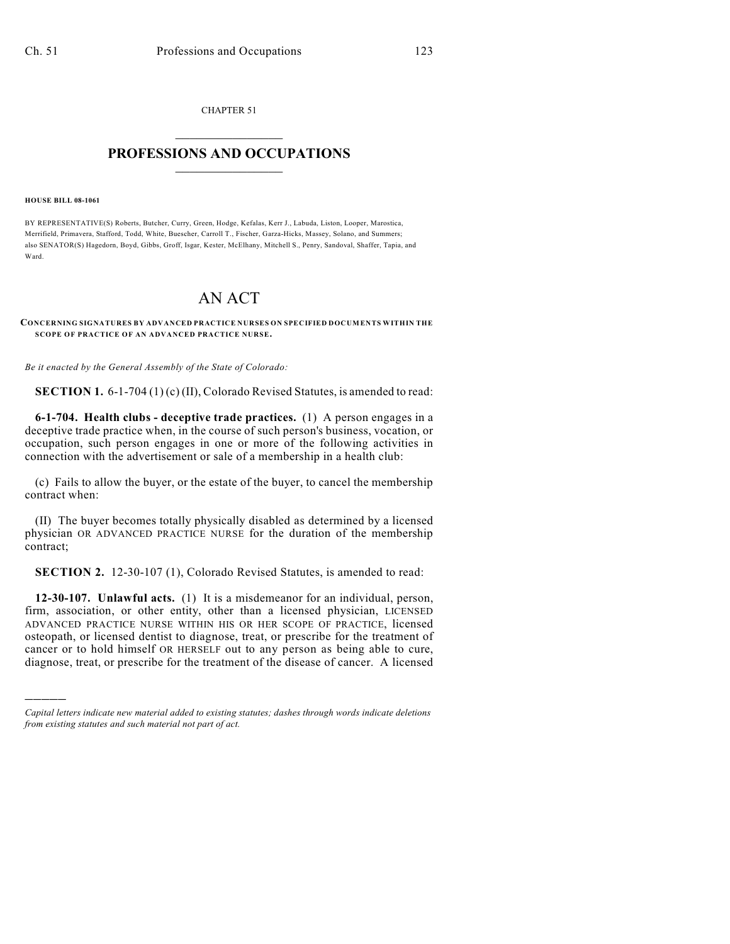CHAPTER 51  $\mathcal{L}_\text{max}$  . The set of the set of the set of the set of the set of the set of the set of the set of the set of the set of the set of the set of the set of the set of the set of the set of the set of the set of the set

# **PROFESSIONS AND OCCUPATIONS**  $\frac{1}{2}$  ,  $\frac{1}{2}$  ,  $\frac{1}{2}$  ,  $\frac{1}{2}$  ,  $\frac{1}{2}$  ,  $\frac{1}{2}$

#### **HOUSE BILL 08-1061**

)))))

BY REPRESENTATIVE(S) Roberts, Butcher, Curry, Green, Hodge, Kefalas, Kerr J., Labuda, Liston, Looper, Marostica, Merrifield, Primavera, Stafford, Todd, White, Buescher, Carroll T., Fischer, Garza-Hicks, Massey, Solano, and Summers; also SENATOR(S) Hagedorn, Boyd, Gibbs, Groff, Isgar, Kester, McElhany, Mitchell S., Penry, Sandoval, Shaffer, Tapia, and Ward.

# AN ACT

### **CONCERNING SIGNATURES BY ADVANCED PRACTICE NURSES ON SPECIFIED DOCUMENTS WITHIN THE SCOPE OF PRACTICE OF AN ADVANCED PRACTICE NURSE.**

*Be it enacted by the General Assembly of the State of Colorado:*

**SECTION 1.** 6-1-704 (1) (c) (II), Colorado Revised Statutes, is amended to read:

**6-1-704. Health clubs - deceptive trade practices.** (1) A person engages in a deceptive trade practice when, in the course of such person's business, vocation, or occupation, such person engages in one or more of the following activities in connection with the advertisement or sale of a membership in a health club:

(c) Fails to allow the buyer, or the estate of the buyer, to cancel the membership contract when:

(II) The buyer becomes totally physically disabled as determined by a licensed physician OR ADVANCED PRACTICE NURSE for the duration of the membership contract;

**SECTION 2.** 12-30-107 (1), Colorado Revised Statutes, is amended to read:

**12-30-107. Unlawful acts.** (1) It is a misdemeanor for an individual, person, firm, association, or other entity, other than a licensed physician, LICENSED ADVANCED PRACTICE NURSE WITHIN HIS OR HER SCOPE OF PRACTICE, licensed osteopath, or licensed dentist to diagnose, treat, or prescribe for the treatment of cancer or to hold himself OR HERSELF out to any person as being able to cure, diagnose, treat, or prescribe for the treatment of the disease of cancer. A licensed

*Capital letters indicate new material added to existing statutes; dashes through words indicate deletions from existing statutes and such material not part of act.*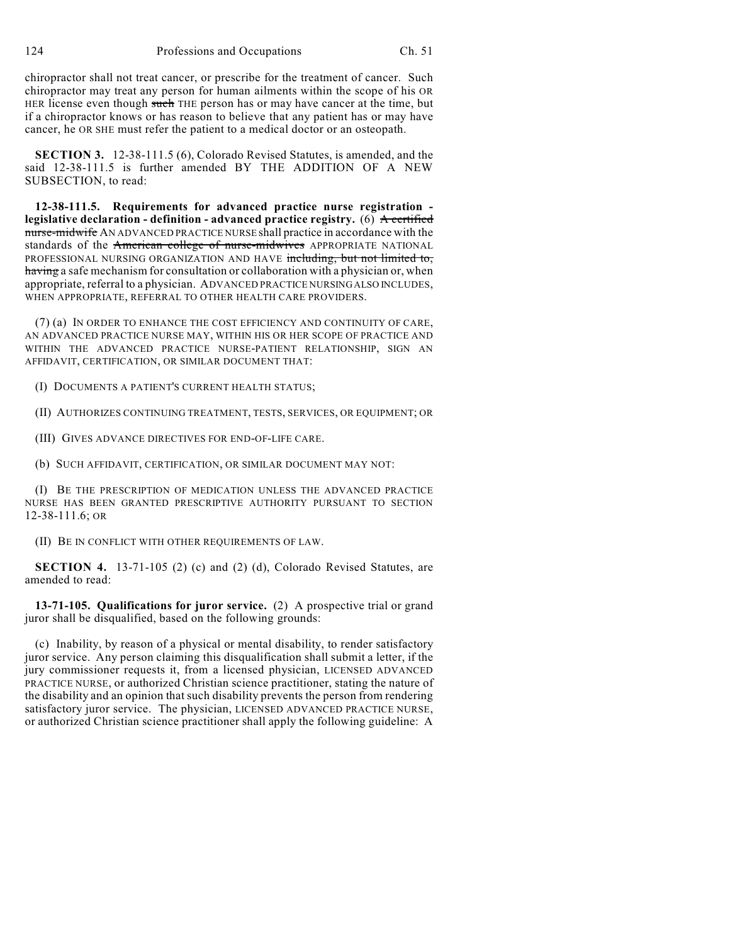chiropractor shall not treat cancer, or prescribe for the treatment of cancer. Such chiropractor may treat any person for human ailments within the scope of his OR HER license even though such THE person has or may have cancer at the time, but if a chiropractor knows or has reason to believe that any patient has or may have cancer, he OR SHE must refer the patient to a medical doctor or an osteopath.

**SECTION 3.** 12-38-111.5 (6), Colorado Revised Statutes, is amended, and the said 12-38-111.5 is further amended BY THE ADDITION OF A NEW SUBSECTION, to read:

**12-38-111.5. Requirements for advanced practice nurse registration legislative declaration - definition - advanced practice registry.** (6) A certified nurse-midwife AN ADVANCED PRACTICE NURSE shall practice in accordance with the standards of the American college of nurse-midwives APPROPRIATE NATIONAL PROFESSIONAL NURSING ORGANIZATION AND HAVE including, but not limited to, having a safe mechanism for consultation or collaboration with a physician or, when appropriate, referral to a physician. ADVANCED PRACTICE NURSING ALSO INCLUDES, WHEN APPROPRIATE, REFERRAL TO OTHER HEALTH CARE PROVIDERS.

(7) (a) IN ORDER TO ENHANCE THE COST EFFICIENCY AND CONTINUITY OF CARE, AN ADVANCED PRACTICE NURSE MAY, WITHIN HIS OR HER SCOPE OF PRACTICE AND WITHIN THE ADVANCED PRACTICE NURSE-PATIENT RELATIONSHIP, SIGN AN AFFIDAVIT, CERTIFICATION, OR SIMILAR DOCUMENT THAT:

(I) DOCUMENTS A PATIENT'S CURRENT HEALTH STATUS;

(II) AUTHORIZES CONTINUING TREATMENT, TESTS, SERVICES, OR EQUIPMENT; OR

(III) GIVES ADVANCE DIRECTIVES FOR END-OF-LIFE CARE.

(b) SUCH AFFIDAVIT, CERTIFICATION, OR SIMILAR DOCUMENT MAY NOT:

(I) BE THE PRESCRIPTION OF MEDICATION UNLESS THE ADVANCED PRACTICE NURSE HAS BEEN GRANTED PRESCRIPTIVE AUTHORITY PURSUANT TO SECTION 12-38-111.6; OR

(II) BE IN CONFLICT WITH OTHER REQUIREMENTS OF LAW.

**SECTION 4.** 13-71-105 (2) (c) and (2) (d), Colorado Revised Statutes, are amended to read:

**13-71-105. Qualifications for juror service.** (2) A prospective trial or grand juror shall be disqualified, based on the following grounds:

(c) Inability, by reason of a physical or mental disability, to render satisfactory juror service. Any person claiming this disqualification shall submit a letter, if the jury commissioner requests it, from a licensed physician, LICENSED ADVANCED PRACTICE NURSE, or authorized Christian science practitioner, stating the nature of the disability and an opinion that such disability prevents the person from rendering satisfactory juror service. The physician, LICENSED ADVANCED PRACTICE NURSE, or authorized Christian science practitioner shall apply the following guideline: A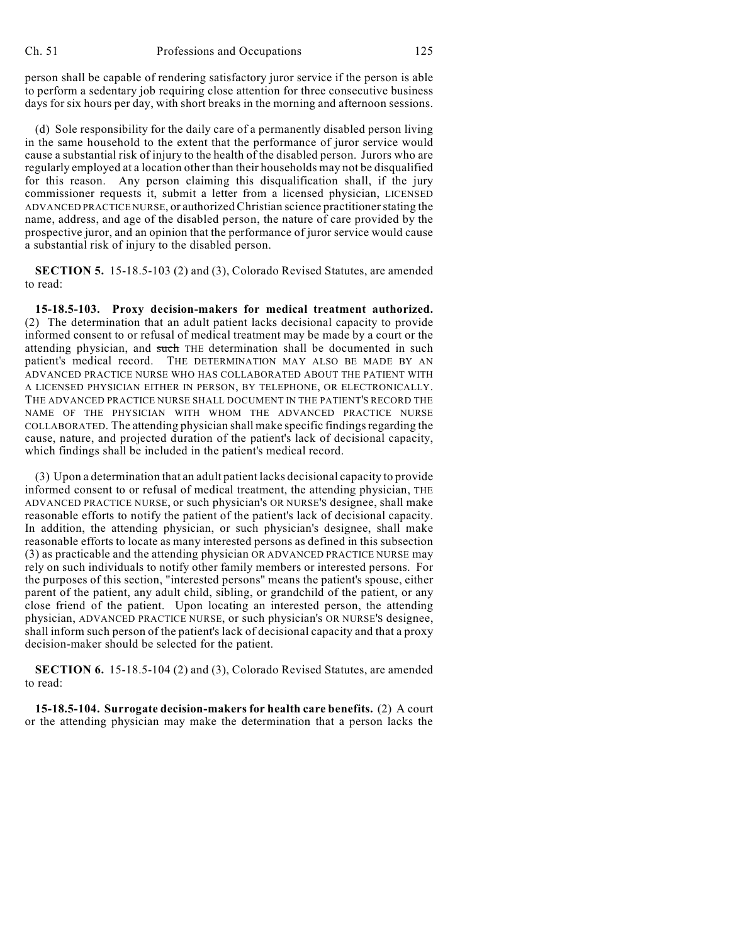person shall be capable of rendering satisfactory juror service if the person is able to perform a sedentary job requiring close attention for three consecutive business days for six hours per day, with short breaks in the morning and afternoon sessions.

(d) Sole responsibility for the daily care of a permanently disabled person living in the same household to the extent that the performance of juror service would cause a substantial risk of injury to the health of the disabled person. Jurors who are regularly employed at a location other than their households may not be disqualified for this reason. Any person claiming this disqualification shall, if the jury commissioner requests it, submit a letter from a licensed physician, LICENSED ADVANCED PRACTICE NURSE, or authorized Christian science practitioner stating the name, address, and age of the disabled person, the nature of care provided by the prospective juror, and an opinion that the performance of juror service would cause a substantial risk of injury to the disabled person.

**SECTION 5.** 15-18.5-103 (2) and (3), Colorado Revised Statutes, are amended to read:

**15-18.5-103. Proxy decision-makers for medical treatment authorized.** (2) The determination that an adult patient lacks decisional capacity to provide informed consent to or refusal of medical treatment may be made by a court or the attending physician, and such THE determination shall be documented in such patient's medical record. THE DETERMINATION MAY ALSO BE MADE BY AN ADVANCED PRACTICE NURSE WHO HAS COLLABORATED ABOUT THE PATIENT WITH A LICENSED PHYSICIAN EITHER IN PERSON, BY TELEPHONE, OR ELECTRONICALLY. THE ADVANCED PRACTICE NURSE SHALL DOCUMENT IN THE PATIENT'S RECORD THE NAME OF THE PHYSICIAN WITH WHOM THE ADVANCED PRACTICE NURSE COLLABORATED. The attending physician shall make specific findings regarding the cause, nature, and projected duration of the patient's lack of decisional capacity, which findings shall be included in the patient's medical record.

(3) Upon a determination that an adult patient lacks decisional capacity to provide informed consent to or refusal of medical treatment, the attending physician, THE ADVANCED PRACTICE NURSE, or such physician's OR NURSE'S designee, shall make reasonable efforts to notify the patient of the patient's lack of decisional capacity. In addition, the attending physician, or such physician's designee, shall make reasonable efforts to locate as many interested persons as defined in this subsection (3) as practicable and the attending physician OR ADVANCED PRACTICE NURSE may rely on such individuals to notify other family members or interested persons. For the purposes of this section, "interested persons" means the patient's spouse, either parent of the patient, any adult child, sibling, or grandchild of the patient, or any close friend of the patient. Upon locating an interested person, the attending physician, ADVANCED PRACTICE NURSE, or such physician's OR NURSE'S designee, shall inform such person of the patient's lack of decisional capacity and that a proxy decision-maker should be selected for the patient.

**SECTION 6.** 15-18.5-104 (2) and (3), Colorado Revised Statutes, are amended to read:

**15-18.5-104. Surrogate decision-makers for health care benefits.** (2) A court or the attending physician may make the determination that a person lacks the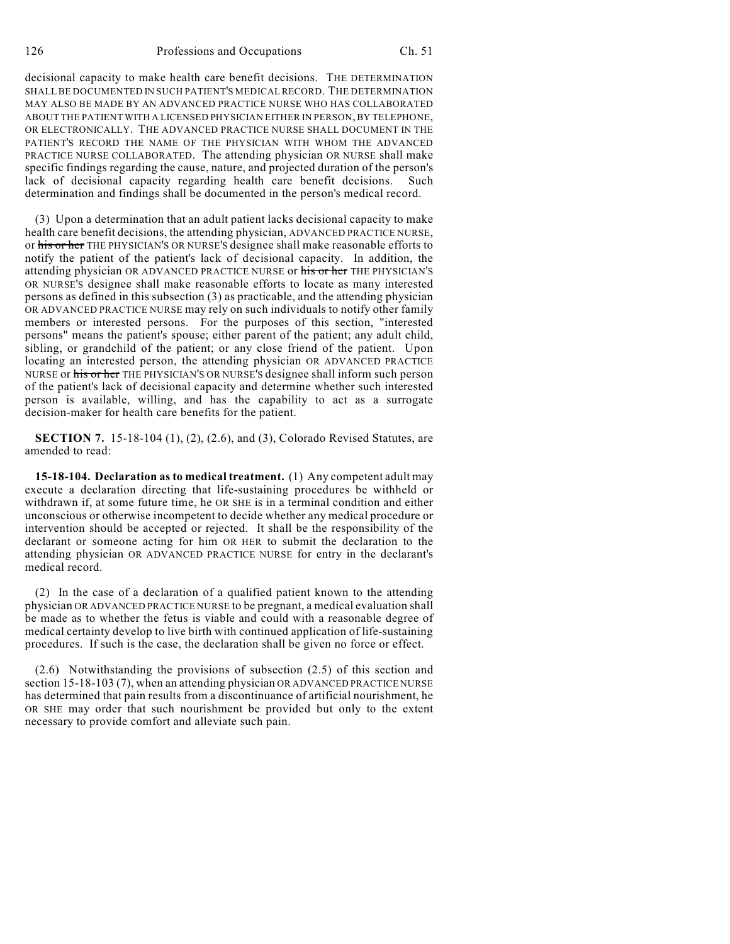decisional capacity to make health care benefit decisions. THE DETERMINATION SHALL BE DOCUMENTED IN SUCH PATIENT'S MEDICAL RECORD. THE DETERMINATION MAY ALSO BE MADE BY AN ADVANCED PRACTICE NURSE WHO HAS COLLABORATED ABOUT THE PATIENT WITH A LICENSED PHYSICIAN EITHER IN PERSON, BY TELEPHONE, OR ELECTRONICALLY. THE ADVANCED PRACTICE NURSE SHALL DOCUMENT IN THE PATIENT'S RECORD THE NAME OF THE PHYSICIAN WITH WHOM THE ADVANCED PRACTICE NURSE COLLABORATED. The attending physician OR NURSE shall make specific findings regarding the cause, nature, and projected duration of the person's lack of decisional capacity regarding health care benefit decisions. Such determination and findings shall be documented in the person's medical record.

(3) Upon a determination that an adult patient lacks decisional capacity to make health care benefit decisions, the attending physician, ADVANCED PRACTICE NURSE, or his or her THE PHYSICIAN'S OR NURSE'S designee shall make reasonable efforts to notify the patient of the patient's lack of decisional capacity. In addition, the attending physician OR ADVANCED PRACTICE NURSE or his or her THE PHYSICIAN'S OR NURSE'S designee shall make reasonable efforts to locate as many interested persons as defined in this subsection (3) as practicable, and the attending physician OR ADVANCED PRACTICE NURSE may rely on such individuals to notify other family members or interested persons. For the purposes of this section, "interested persons" means the patient's spouse; either parent of the patient; any adult child, sibling, or grandchild of the patient; or any close friend of the patient. Upon locating an interested person, the attending physician OR ADVANCED PRACTICE NURSE or his or her THE PHYSICIAN'S OR NURSE'S designee shall inform such person of the patient's lack of decisional capacity and determine whether such interested person is available, willing, and has the capability to act as a surrogate decision-maker for health care benefits for the patient.

**SECTION 7.** 15-18-104 (1), (2), (2.6), and (3), Colorado Revised Statutes, are amended to read:

**15-18-104. Declaration as to medical treatment.** (1) Any competent adult may execute a declaration directing that life-sustaining procedures be withheld or withdrawn if, at some future time, he OR SHE is in a terminal condition and either unconscious or otherwise incompetent to decide whether any medical procedure or intervention should be accepted or rejected. It shall be the responsibility of the declarant or someone acting for him OR HER to submit the declaration to the attending physician OR ADVANCED PRACTICE NURSE for entry in the declarant's medical record.

(2) In the case of a declaration of a qualified patient known to the attending physician OR ADVANCED PRACTICE NURSE to be pregnant, a medical evaluation shall be made as to whether the fetus is viable and could with a reasonable degree of medical certainty develop to live birth with continued application of life-sustaining procedures. If such is the case, the declaration shall be given no force or effect.

(2.6) Notwithstanding the provisions of subsection (2.5) of this section and section 15-18-103 (7), when an attending physician OR ADVANCED PRACTICE NURSE has determined that pain results from a discontinuance of artificial nourishment, he OR SHE may order that such nourishment be provided but only to the extent necessary to provide comfort and alleviate such pain.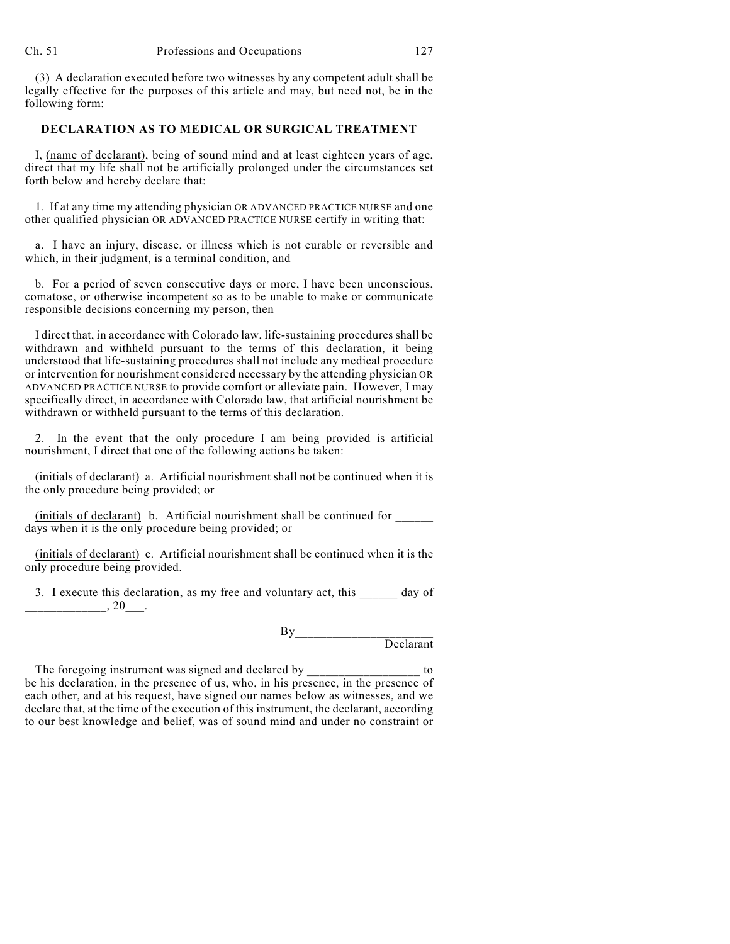(3) A declaration executed before two witnesses by any competent adult shall be legally effective for the purposes of this article and may, but need not, be in the following form:

## **DECLARATION AS TO MEDICAL OR SURGICAL TREATMENT**

I, (name of declarant), being of sound mind and at least eighteen years of age, direct that my life shall not be artificially prolonged under the circumstances set forth below and hereby declare that:

1. If at any time my attending physician OR ADVANCED PRACTICE NURSE and one other qualified physician OR ADVANCED PRACTICE NURSE certify in writing that:

a. I have an injury, disease, or illness which is not curable or reversible and which, in their judgment, is a terminal condition, and

b. For a period of seven consecutive days or more, I have been unconscious, comatose, or otherwise incompetent so as to be unable to make or communicate responsible decisions concerning my person, then

I direct that, in accordance with Colorado law, life-sustaining procedures shall be withdrawn and withheld pursuant to the terms of this declaration, it being understood that life-sustaining procedures shall not include any medical procedure or intervention for nourishment considered necessary by the attending physician OR ADVANCED PRACTICE NURSE to provide comfort or alleviate pain. However, I may specifically direct, in accordance with Colorado law, that artificial nourishment be withdrawn or withheld pursuant to the terms of this declaration.

2. In the event that the only procedure I am being provided is artificial nourishment, I direct that one of the following actions be taken:

(initials of declarant) a. Artificial nourishment shall not be continued when it is the only procedure being provided; or

(initials of declarant) b. Artificial nourishment shall be continued for \_\_\_\_\_\_ days when it is the only procedure being provided; or

(initials of declarant) c. Artificial nourishment shall be continued when it is the only procedure being provided.

3. I execute this declaration, as my free and voluntary act, this day of  $, 20$ .

> By\_\_\_\_\_\_\_\_\_\_\_\_\_\_\_\_\_\_\_\_\_\_ Declarant

The foregoing instrument was signed and declared by \_\_\_\_\_\_\_\_\_\_\_\_\_\_\_\_\_\_\_\_ to be his declaration, in the presence of us, who, in his presence, in the presence of each other, and at his request, have signed our names below as witnesses, and we declare that, at the time of the execution of this instrument, the declarant, according to our best knowledge and belief, was of sound mind and under no constraint or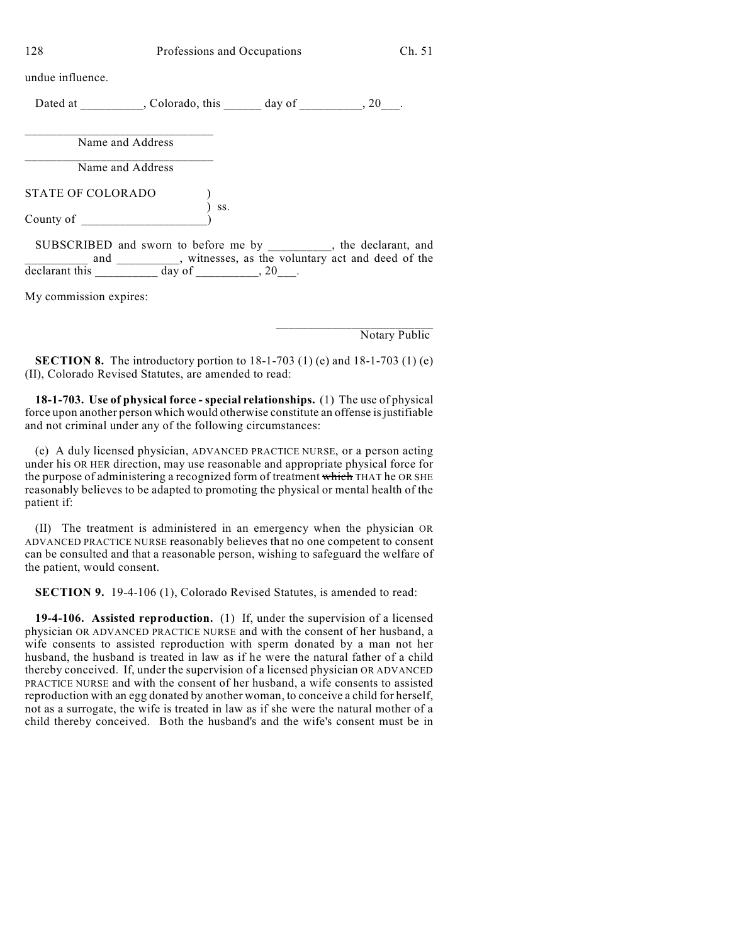128 Professions and Occupations Ch. 51

undue influence.

Dated at \_\_\_\_\_\_\_\_, Colorado, this \_\_\_\_\_\_ day of \_\_\_\_\_\_\_, 20\_\_.

\_\_\_\_\_\_\_\_\_\_\_\_\_\_\_\_\_\_\_\_\_\_\_\_\_\_\_\_\_\_ Name and Address \_\_\_\_\_\_\_\_\_\_\_\_\_\_\_\_\_\_\_\_\_\_\_\_\_\_\_\_\_\_

Name and Address

STATE OF COLORADO )  $\int$  ss. County of  $\qquad \qquad$ 

SUBSCRIBED and sworn to before me by \_\_\_\_\_\_\_\_\_, the declarant, and **\_\_\_\_\_\_\_\_\_** and \_\_\_\_\_\_\_\_, witnesses, as the voluntary act and deed of the declarant this  $\frac{1}{\sqrt{2}}$  day of  $\frac{1}{\sqrt{2}}$ , 20\_\_\_.

My commission expires:

Notary Public

\_\_\_\_\_\_\_\_\_\_\_\_\_\_\_\_\_\_\_\_\_\_\_\_\_

**SECTION 8.** The introductory portion to 18-1-703 (1) (e) and 18-1-703 (1) (e) (II), Colorado Revised Statutes, are amended to read:

**18-1-703. Use of physical force - special relationships.** (1) The use of physical force upon another person which would otherwise constitute an offense is justifiable and not criminal under any of the following circumstances:

(e) A duly licensed physician, ADVANCED PRACTICE NURSE, or a person acting under his OR HER direction, may use reasonable and appropriate physical force for the purpose of administering a recognized form of treatment which THAT he OR SHE reasonably believes to be adapted to promoting the physical or mental health of the patient if:

(II) The treatment is administered in an emergency when the physician OR ADVANCED PRACTICE NURSE reasonably believes that no one competent to consent can be consulted and that a reasonable person, wishing to safeguard the welfare of the patient, would consent.

**SECTION 9.** 19-4-106 (1), Colorado Revised Statutes, is amended to read:

**19-4-106. Assisted reproduction.** (1) If, under the supervision of a licensed physician OR ADVANCED PRACTICE NURSE and with the consent of her husband, a wife consents to assisted reproduction with sperm donated by a man not her husband, the husband is treated in law as if he were the natural father of a child thereby conceived. If, under the supervision of a licensed physician OR ADVANCED PRACTICE NURSE and with the consent of her husband, a wife consents to assisted reproduction with an egg donated by another woman, to conceive a child for herself, not as a surrogate, the wife is treated in law as if she were the natural mother of a child thereby conceived. Both the husband's and the wife's consent must be in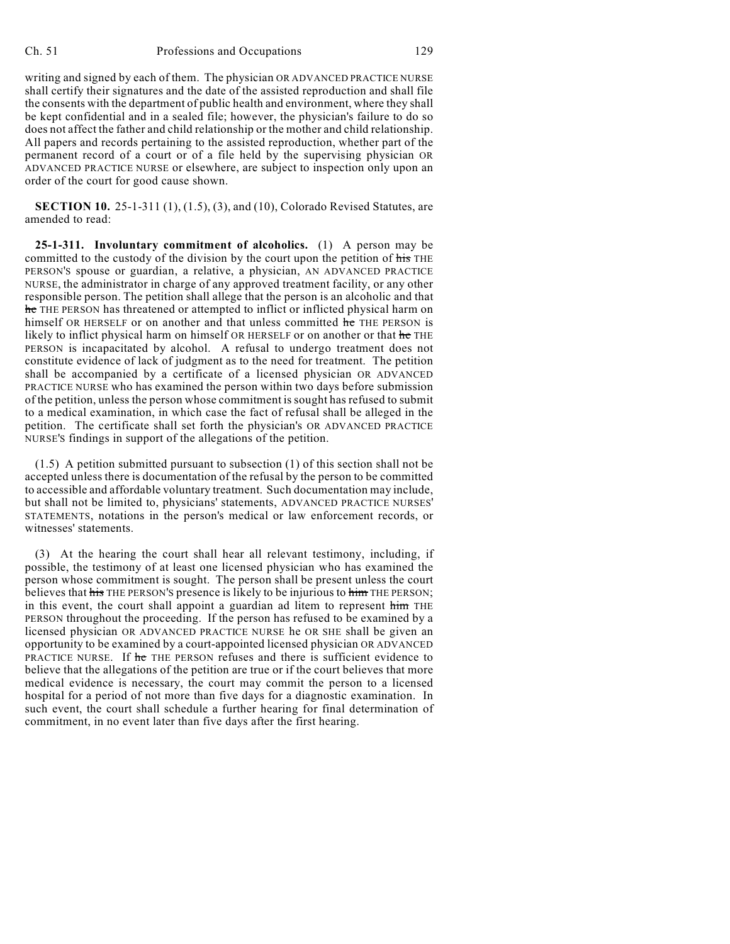writing and signed by each of them. The physician OR ADVANCED PRACTICE NURSE shall certify their signatures and the date of the assisted reproduction and shall file the consents with the department of public health and environment, where they shall be kept confidential and in a sealed file; however, the physician's failure to do so does not affect the father and child relationship or the mother and child relationship. All papers and records pertaining to the assisted reproduction, whether part of the permanent record of a court or of a file held by the supervising physician OR ADVANCED PRACTICE NURSE or elsewhere, are subject to inspection only upon an order of the court for good cause shown.

**SECTION 10.** 25-1-311 (1), (1.5), (3), and (10), Colorado Revised Statutes, are amended to read:

**25-1-311. Involuntary commitment of alcoholics.** (1) A person may be committed to the custody of the division by the court upon the petition of his THE PERSON'S spouse or guardian, a relative, a physician, AN ADVANCED PRACTICE NURSE, the administrator in charge of any approved treatment facility, or any other responsible person. The petition shall allege that the person is an alcoholic and that he THE PERSON has threatened or attempted to inflict or inflicted physical harm on himself OR HERSELF or on another and that unless committed he THE PERSON is likely to inflict physical harm on himself OR HERSELF or on another or that he THE PERSON is incapacitated by alcohol. A refusal to undergo treatment does not constitute evidence of lack of judgment as to the need for treatment. The petition shall be accompanied by a certificate of a licensed physician OR ADVANCED PRACTICE NURSE who has examined the person within two days before submission of the petition, unless the person whose commitment is sought has refused to submit to a medical examination, in which case the fact of refusal shall be alleged in the petition. The certificate shall set forth the physician's OR ADVANCED PRACTICE NURSE'S findings in support of the allegations of the petition.

(1.5) A petition submitted pursuant to subsection (1) of this section shall not be accepted unless there is documentation of the refusal by the person to be committed to accessible and affordable voluntary treatment. Such documentation may include, but shall not be limited to, physicians' statements, ADVANCED PRACTICE NURSES' STATEMENTS, notations in the person's medical or law enforcement records, or witnesses' statements.

(3) At the hearing the court shall hear all relevant testimony, including, if possible, the testimony of at least one licensed physician who has examined the person whose commitment is sought. The person shall be present unless the court believes that his THE PERSON's presence is likely to be injurious to him THE PERSON; in this event, the court shall appoint a guardian ad litem to represent him THE PERSON throughout the proceeding. If the person has refused to be examined by a licensed physician OR ADVANCED PRACTICE NURSE he OR SHE shall be given an opportunity to be examined by a court-appointed licensed physician OR ADVANCED PRACTICE NURSE. If he THE PERSON refuses and there is sufficient evidence to believe that the allegations of the petition are true or if the court believes that more medical evidence is necessary, the court may commit the person to a licensed hospital for a period of not more than five days for a diagnostic examination. In such event, the court shall schedule a further hearing for final determination of commitment, in no event later than five days after the first hearing.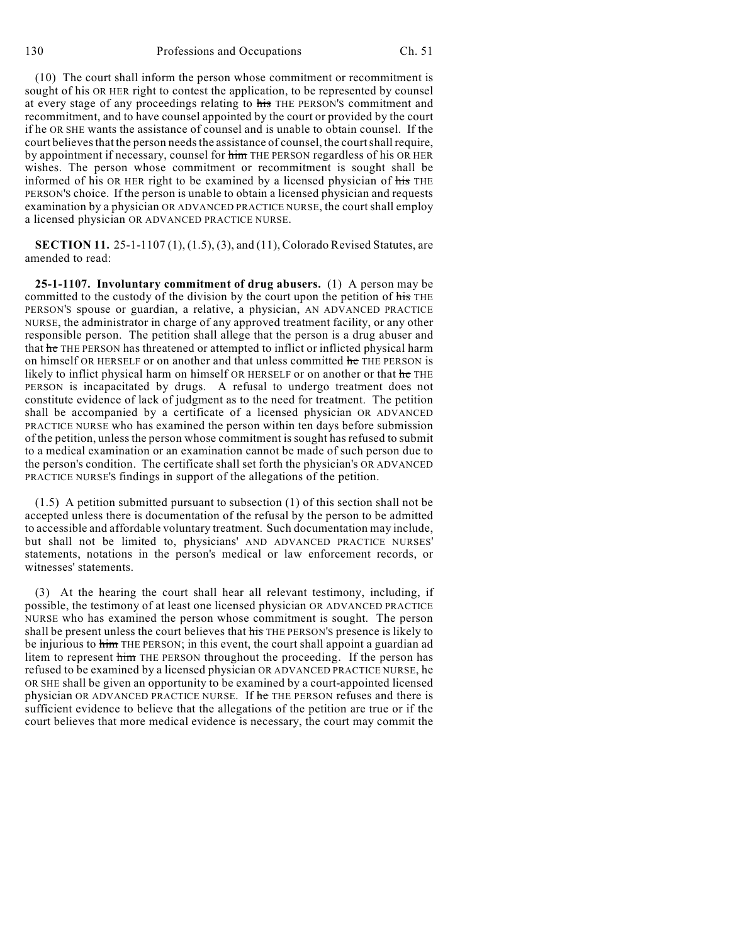(10) The court shall inform the person whose commitment or recommitment is sought of his OR HER right to contest the application, to be represented by counsel at every stage of any proceedings relating to his THE PERSON'S commitment and recommitment, and to have counsel appointed by the court or provided by the court if he OR SHE wants the assistance of counsel and is unable to obtain counsel. If the court believes that the person needs the assistance of counsel, the court shall require, by appointment if necessary, counsel for him THE PERSON regardless of his OR HER wishes. The person whose commitment or recommitment is sought shall be informed of his OR HER right to be examined by a licensed physician of his THE PERSON'S choice. If the person is unable to obtain a licensed physician and requests examination by a physician OR ADVANCED PRACTICE NURSE, the court shall employ a licensed physician OR ADVANCED PRACTICE NURSE.

**SECTION 11.** 25-1-1107 (1), (1.5), (3), and (11), Colorado Revised Statutes, are amended to read:

**25-1-1107. Involuntary commitment of drug abusers.** (1) A person may be committed to the custody of the division by the court upon the petition of his THE PERSON'S spouse or guardian, a relative, a physician, AN ADVANCED PRACTICE NURSE, the administrator in charge of any approved treatment facility, or any other responsible person. The petition shall allege that the person is a drug abuser and that he THE PERSON has threatened or attempted to inflict or inflicted physical harm on himself OR HERSELF or on another and that unless committed he THE PERSON is likely to inflict physical harm on himself OR HERSELF or on another or that he THE PERSON is incapacitated by drugs. A refusal to undergo treatment does not constitute evidence of lack of judgment as to the need for treatment. The petition shall be accompanied by a certificate of a licensed physician OR ADVANCED PRACTICE NURSE who has examined the person within ten days before submission of the petition, unless the person whose commitment is sought has refused to submit to a medical examination or an examination cannot be made of such person due to the person's condition. The certificate shall set forth the physician's OR ADVANCED PRACTICE NURSE'S findings in support of the allegations of the petition.

(1.5) A petition submitted pursuant to subsection (1) of this section shall not be accepted unless there is documentation of the refusal by the person to be admitted to accessible and affordable voluntary treatment. Such documentation may include, but shall not be limited to, physicians' AND ADVANCED PRACTICE NURSES' statements, notations in the person's medical or law enforcement records, or witnesses' statements.

(3) At the hearing the court shall hear all relevant testimony, including, if possible, the testimony of at least one licensed physician OR ADVANCED PRACTICE NURSE who has examined the person whose commitment is sought. The person shall be present unless the court believes that his THE PERSON'S presence is likely to be injurious to him THE PERSON; in this event, the court shall appoint a guardian ad litem to represent him THE PERSON throughout the proceeding. If the person has refused to be examined by a licensed physician OR ADVANCED PRACTICE NURSE, he OR SHE shall be given an opportunity to be examined by a court-appointed licensed physician OR ADVANCED PRACTICE NURSE. If he THE PERSON refuses and there is sufficient evidence to believe that the allegations of the petition are true or if the court believes that more medical evidence is necessary, the court may commit the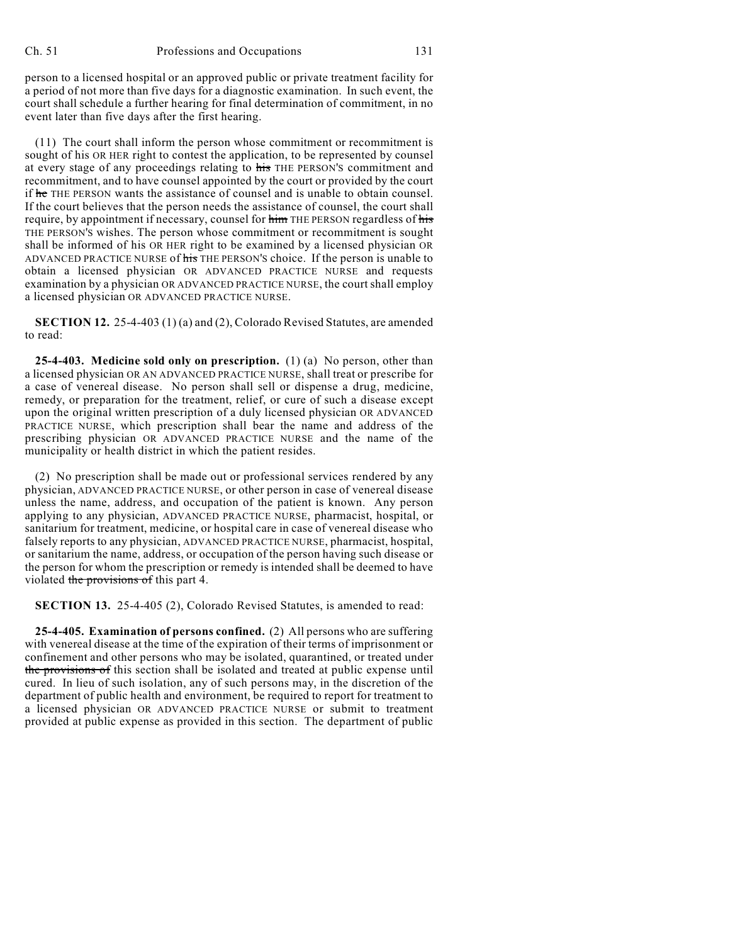person to a licensed hospital or an approved public or private treatment facility for a period of not more than five days for a diagnostic examination. In such event, the court shall schedule a further hearing for final determination of commitment, in no event later than five days after the first hearing.

(11) The court shall inform the person whose commitment or recommitment is sought of his OR HER right to contest the application, to be represented by counsel at every stage of any proceedings relating to his THE PERSON'S commitment and recommitment, and to have counsel appointed by the court or provided by the court if he THE PERSON wants the assistance of counsel and is unable to obtain counsel. If the court believes that the person needs the assistance of counsel, the court shall require, by appointment if necessary, counsel for him THE PERSON regardless of his THE PERSON'S wishes. The person whose commitment or recommitment is sought shall be informed of his OR HER right to be examined by a licensed physician OR ADVANCED PRACTICE NURSE of his THE PERSON'S choice. If the person is unable to obtain a licensed physician OR ADVANCED PRACTICE NURSE and requests examination by a physician OR ADVANCED PRACTICE NURSE, the court shall employ a licensed physician OR ADVANCED PRACTICE NURSE.

**SECTION 12.** 25-4-403 (1) (a) and (2), Colorado Revised Statutes, are amended to read:

**25-4-403. Medicine sold only on prescription.** (1) (a) No person, other than a licensed physician OR AN ADVANCED PRACTICE NURSE, shall treat or prescribe for a case of venereal disease. No person shall sell or dispense a drug, medicine, remedy, or preparation for the treatment, relief, or cure of such a disease except upon the original written prescription of a duly licensed physician OR ADVANCED PRACTICE NURSE, which prescription shall bear the name and address of the prescribing physician OR ADVANCED PRACTICE NURSE and the name of the municipality or health district in which the patient resides.

(2) No prescription shall be made out or professional services rendered by any physician, ADVANCED PRACTICE NURSE, or other person in case of venereal disease unless the name, address, and occupation of the patient is known. Any person applying to any physician, ADVANCED PRACTICE NURSE, pharmacist, hospital, or sanitarium for treatment, medicine, or hospital care in case of venereal disease who falsely reports to any physician, ADVANCED PRACTICE NURSE, pharmacist, hospital, or sanitarium the name, address, or occupation of the person having such disease or the person for whom the prescription or remedy is intended shall be deemed to have violated the provisions of this part 4.

**SECTION 13.** 25-4-405 (2), Colorado Revised Statutes, is amended to read:

**25-4-405. Examination of persons confined.** (2) All persons who are suffering with venereal disease at the time of the expiration of their terms of imprisonment or confinement and other persons who may be isolated, quarantined, or treated under the provisions of this section shall be isolated and treated at public expense until cured. In lieu of such isolation, any of such persons may, in the discretion of the department of public health and environment, be required to report for treatment to a licensed physician OR ADVANCED PRACTICE NURSE or submit to treatment provided at public expense as provided in this section. The department of public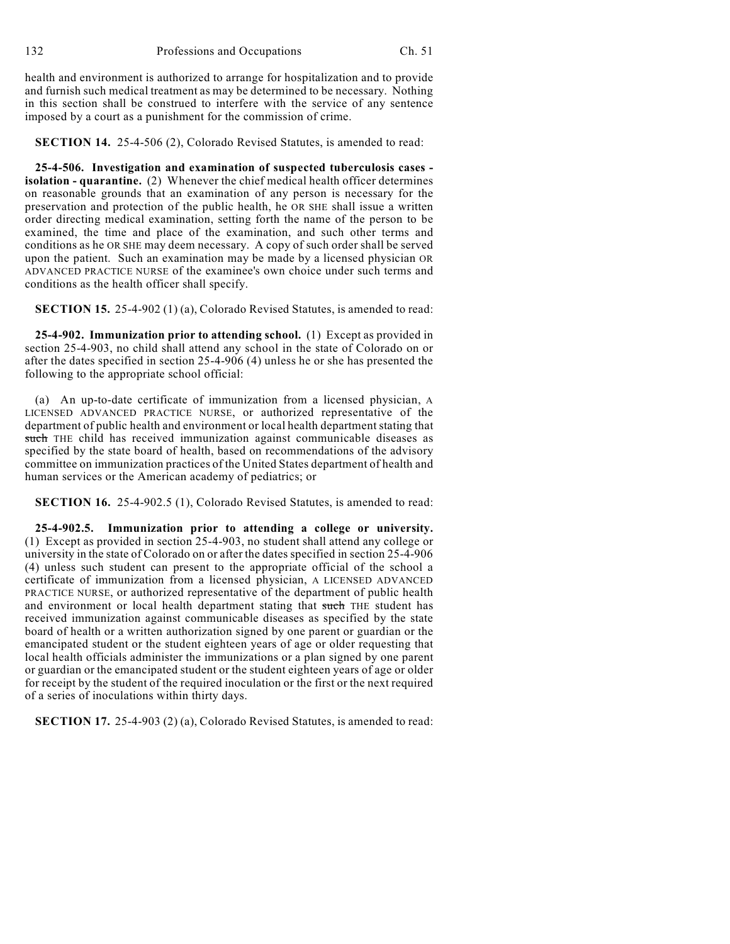health and environment is authorized to arrange for hospitalization and to provide and furnish such medical treatment as may be determined to be necessary. Nothing in this section shall be construed to interfere with the service of any sentence imposed by a court as a punishment for the commission of crime.

**SECTION 14.** 25-4-506 (2), Colorado Revised Statutes, is amended to read:

**25-4-506. Investigation and examination of suspected tuberculosis cases isolation - quarantine.** (2) Whenever the chief medical health officer determines on reasonable grounds that an examination of any person is necessary for the preservation and protection of the public health, he OR SHE shall issue a written order directing medical examination, setting forth the name of the person to be examined, the time and place of the examination, and such other terms and conditions as he OR SHE may deem necessary. A copy of such order shall be served upon the patient. Such an examination may be made by a licensed physician OR ADVANCED PRACTICE NURSE of the examinee's own choice under such terms and conditions as the health officer shall specify.

**SECTION 15.** 25-4-902 (1) (a), Colorado Revised Statutes, is amended to read:

**25-4-902. Immunization prior to attending school.** (1) Except as provided in section 25-4-903, no child shall attend any school in the state of Colorado on or after the dates specified in section 25-4-906 (4) unless he or she has presented the following to the appropriate school official:

(a) An up-to-date certificate of immunization from a licensed physician, A LICENSED ADVANCED PRACTICE NURSE, or authorized representative of the department of public health and environment or local health department stating that such THE child has received immunization against communicable diseases as specified by the state board of health, based on recommendations of the advisory committee on immunization practices of the United States department of health and human services or the American academy of pediatrics; or

**SECTION 16.** 25-4-902.5 (1), Colorado Revised Statutes, is amended to read:

**25-4-902.5. Immunization prior to attending a college or university.** (1) Except as provided in section 25-4-903, no student shall attend any college or university in the state of Colorado on or after the dates specified in section 25-4-906 (4) unless such student can present to the appropriate official of the school a certificate of immunization from a licensed physician, A LICENSED ADVANCED PRACTICE NURSE, or authorized representative of the department of public health and environment or local health department stating that such THE student has received immunization against communicable diseases as specified by the state board of health or a written authorization signed by one parent or guardian or the emancipated student or the student eighteen years of age or older requesting that local health officials administer the immunizations or a plan signed by one parent or guardian or the emancipated student or the student eighteen years of age or older for receipt by the student of the required inoculation or the first or the next required of a series of inoculations within thirty days.

**SECTION 17.** 25-4-903 (2) (a), Colorado Revised Statutes, is amended to read: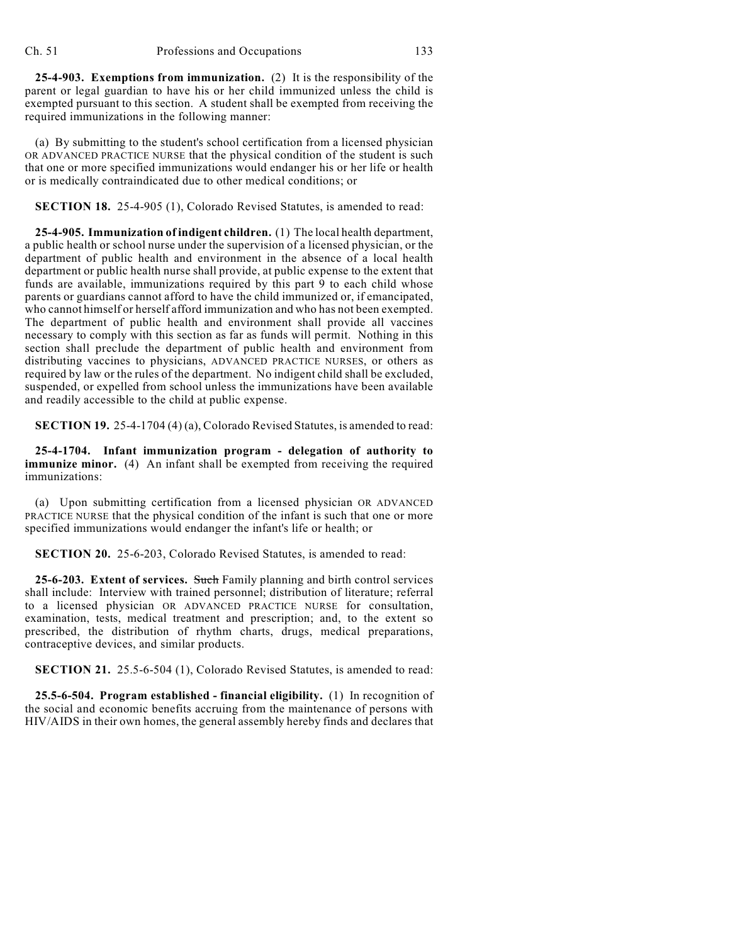**25-4-903. Exemptions from immunization.** (2) It is the responsibility of the parent or legal guardian to have his or her child immunized unless the child is exempted pursuant to this section. A student shall be exempted from receiving the required immunizations in the following manner:

(a) By submitting to the student's school certification from a licensed physician OR ADVANCED PRACTICE NURSE that the physical condition of the student is such that one or more specified immunizations would endanger his or her life or health or is medically contraindicated due to other medical conditions; or

**SECTION 18.** 25-4-905 (1), Colorado Revised Statutes, is amended to read:

**25-4-905. Immunization of indigent children.** (1) The local health department, a public health or school nurse under the supervision of a licensed physician, or the department of public health and environment in the absence of a local health department or public health nurse shall provide, at public expense to the extent that funds are available, immunizations required by this part 9 to each child whose parents or guardians cannot afford to have the child immunized or, if emancipated, who cannot himself or herself afford immunization and who has not been exempted. The department of public health and environment shall provide all vaccines necessary to comply with this section as far as funds will permit. Nothing in this section shall preclude the department of public health and environment from distributing vaccines to physicians, ADVANCED PRACTICE NURSES, or others as required by law or the rules of the department. No indigent child shall be excluded, suspended, or expelled from school unless the immunizations have been available and readily accessible to the child at public expense.

**SECTION 19.** 25-4-1704 (4) (a), Colorado Revised Statutes, is amended to read:

**25-4-1704. Infant immunization program - delegation of authority to immunize minor.** (4) An infant shall be exempted from receiving the required immunizations:

(a) Upon submitting certification from a licensed physician OR ADVANCED PRACTICE NURSE that the physical condition of the infant is such that one or more specified immunizations would endanger the infant's life or health; or

**SECTION 20.** 25-6-203, Colorado Revised Statutes, is amended to read:

**25-6-203. Extent of services.** Such Family planning and birth control services shall include: Interview with trained personnel; distribution of literature; referral to a licensed physician OR ADVANCED PRACTICE NURSE for consultation, examination, tests, medical treatment and prescription; and, to the extent so prescribed, the distribution of rhythm charts, drugs, medical preparations, contraceptive devices, and similar products.

**SECTION 21.** 25.5-6-504 (1), Colorado Revised Statutes, is amended to read:

**25.5-6-504. Program established - financial eligibility.** (1) In recognition of the social and economic benefits accruing from the maintenance of persons with HIV/AIDS in their own homes, the general assembly hereby finds and declares that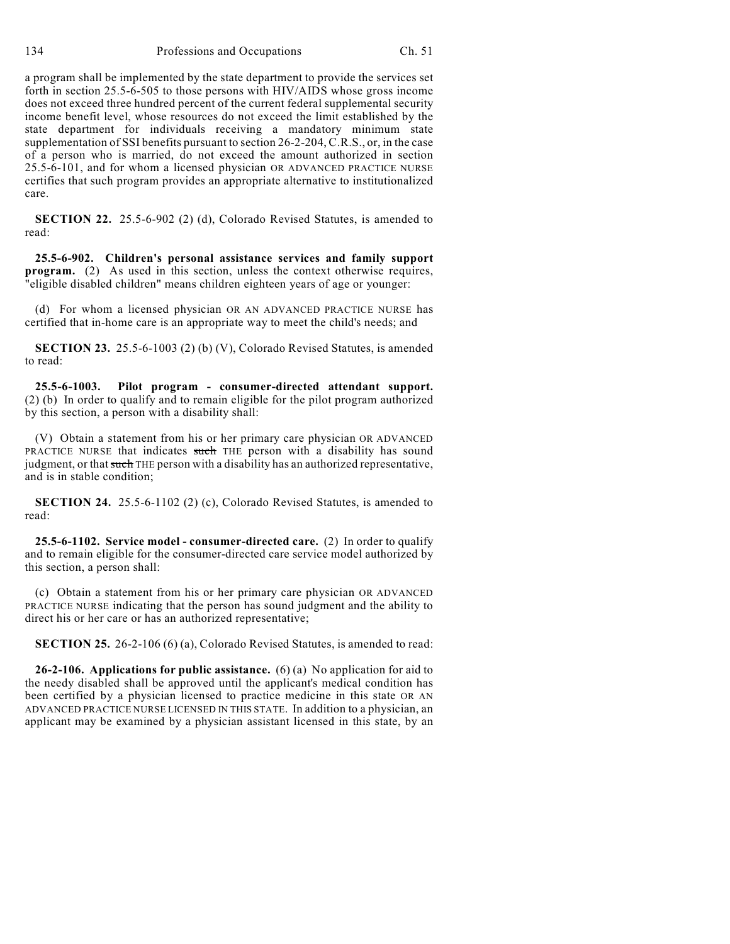a program shall be implemented by the state department to provide the services set forth in section 25.5-6-505 to those persons with HIV/AIDS whose gross income does not exceed three hundred percent of the current federal supplemental security income benefit level, whose resources do not exceed the limit established by the state department for individuals receiving a mandatory minimum state supplementation of SSI benefits pursuant to section 26-2-204, C.R.S., or, in the case of a person who is married, do not exceed the amount authorized in section 25.5-6-101, and for whom a licensed physician OR ADVANCED PRACTICE NURSE certifies that such program provides an appropriate alternative to institutionalized care.

**SECTION 22.** 25.5-6-902 (2) (d), Colorado Revised Statutes, is amended to read:

**25.5-6-902. Children's personal assistance services and family support program.** (2) As used in this section, unless the context otherwise requires, "eligible disabled children" means children eighteen years of age or younger:

(d) For whom a licensed physician OR AN ADVANCED PRACTICE NURSE has certified that in-home care is an appropriate way to meet the child's needs; and

**SECTION 23.** 25.5-6-1003 (2) (b) (V), Colorado Revised Statutes, is amended to read:

**25.5-6-1003. Pilot program - consumer-directed attendant support.** (2) (b) In order to qualify and to remain eligible for the pilot program authorized by this section, a person with a disability shall:

(V) Obtain a statement from his or her primary care physician OR ADVANCED PRACTICE NURSE that indicates such THE person with a disability has sound judgment, or that such THE person with a disability has an authorized representative, and is in stable condition;

**SECTION 24.** 25.5-6-1102 (2) (c), Colorado Revised Statutes, is amended to read:

**25.5-6-1102. Service model - consumer-directed care.** (2) In order to qualify and to remain eligible for the consumer-directed care service model authorized by this section, a person shall:

(c) Obtain a statement from his or her primary care physician OR ADVANCED PRACTICE NURSE indicating that the person has sound judgment and the ability to direct his or her care or has an authorized representative;

**SECTION 25.** 26-2-106 (6) (a), Colorado Revised Statutes, is amended to read:

**26-2-106. Applications for public assistance.** (6) (a) No application for aid to the needy disabled shall be approved until the applicant's medical condition has been certified by a physician licensed to practice medicine in this state OR AN ADVANCED PRACTICE NURSE LICENSED IN THIS STATE. In addition to a physician, an applicant may be examined by a physician assistant licensed in this state, by an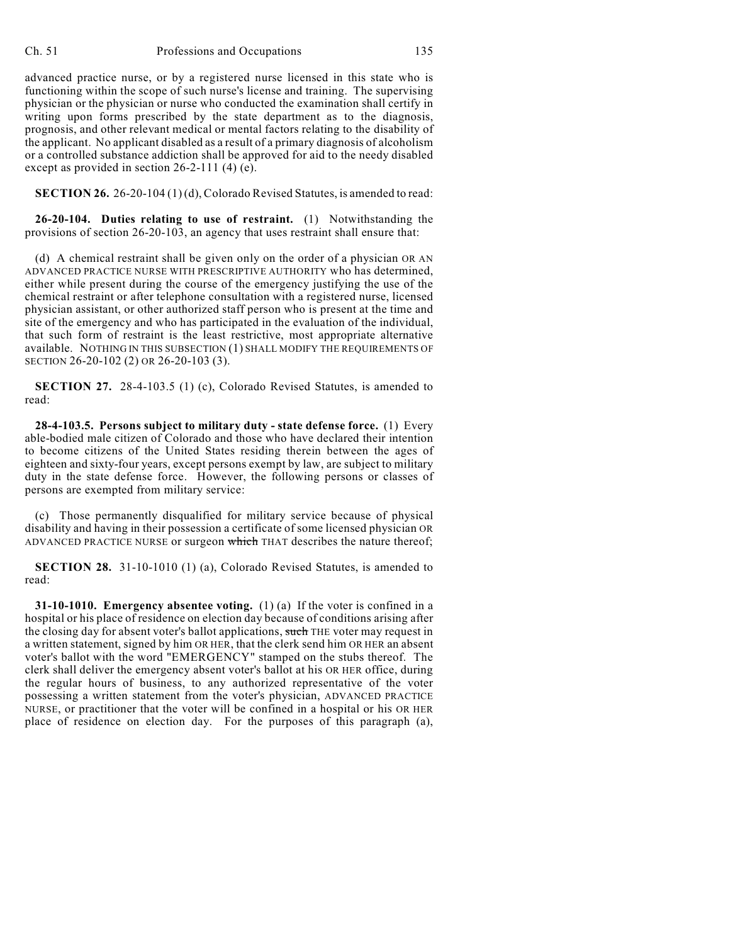advanced practice nurse, or by a registered nurse licensed in this state who is functioning within the scope of such nurse's license and training. The supervising physician or the physician or nurse who conducted the examination shall certify in writing upon forms prescribed by the state department as to the diagnosis, prognosis, and other relevant medical or mental factors relating to the disability of the applicant. No applicant disabled as a result of a primary diagnosis of alcoholism or a controlled substance addiction shall be approved for aid to the needy disabled except as provided in section 26-2-111 (4) (e).

**SECTION 26.** 26-20-104 (1) (d), Colorado Revised Statutes, is amended to read:

**26-20-104. Duties relating to use of restraint.** (1) Notwithstanding the provisions of section 26-20-103, an agency that uses restraint shall ensure that:

(d) A chemical restraint shall be given only on the order of a physician OR AN ADVANCED PRACTICE NURSE WITH PRESCRIPTIVE AUTHORITY who has determined, either while present during the course of the emergency justifying the use of the chemical restraint or after telephone consultation with a registered nurse, licensed physician assistant, or other authorized staff person who is present at the time and site of the emergency and who has participated in the evaluation of the individual, that such form of restraint is the least restrictive, most appropriate alternative available. NOTHING IN THIS SUBSECTION (1) SHALL MODIFY THE REQUIREMENTS OF SECTION 26-20-102 (2) OR 26-20-103 (3).

**SECTION 27.** 28-4-103.5 (1) (c), Colorado Revised Statutes, is amended to read:

**28-4-103.5. Persons subject to military duty - state defense force.** (1) Every able-bodied male citizen of Colorado and those who have declared their intention to become citizens of the United States residing therein between the ages of eighteen and sixty-four years, except persons exempt by law, are subject to military duty in the state defense force. However, the following persons or classes of persons are exempted from military service:

(c) Those permanently disqualified for military service because of physical disability and having in their possession a certificate of some licensed physician OR ADVANCED PRACTICE NURSE or surgeon which THAT describes the nature thereof;

**SECTION 28.** 31-10-1010 (1) (a), Colorado Revised Statutes, is amended to read:

**31-10-1010. Emergency absentee voting.** (1) (a) If the voter is confined in a hospital or his place of residence on election day because of conditions arising after the closing day for absent voter's ballot applications, such THE voter may request in a written statement, signed by him OR HER, that the clerk send him OR HER an absent voter's ballot with the word "EMERGENCY" stamped on the stubs thereof. The clerk shall deliver the emergency absent voter's ballot at his OR HER office, during the regular hours of business, to any authorized representative of the voter possessing a written statement from the voter's physician, ADVANCED PRACTICE NURSE, or practitioner that the voter will be confined in a hospital or his OR HER place of residence on election day. For the purposes of this paragraph (a),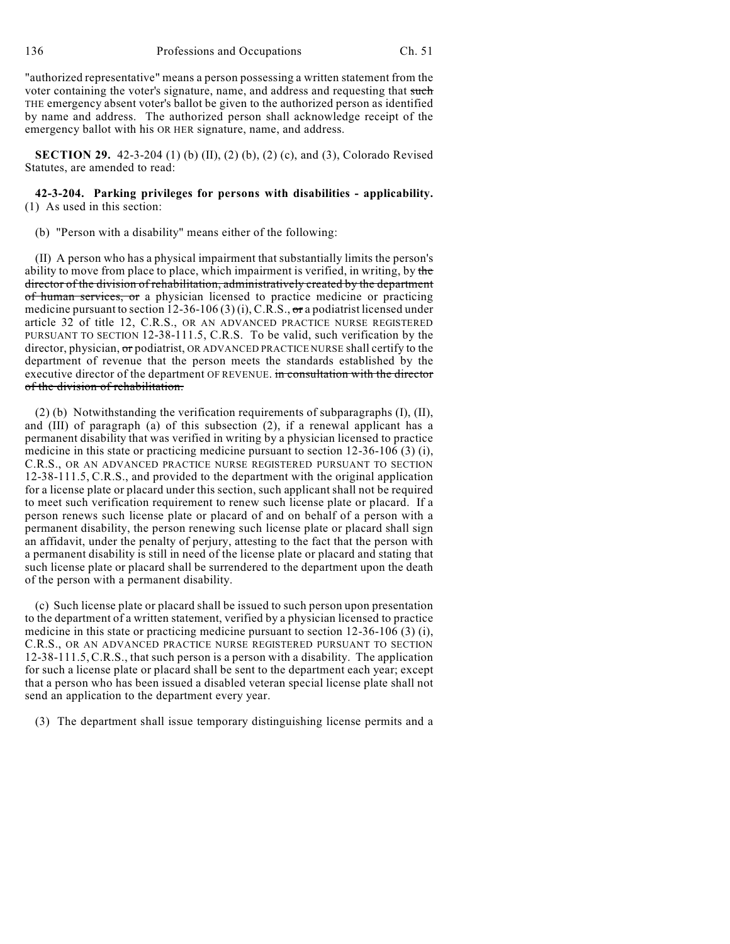"authorized representative" means a person possessing a written statement from the voter containing the voter's signature, name, and address and requesting that such THE emergency absent voter's ballot be given to the authorized person as identified by name and address. The authorized person shall acknowledge receipt of the emergency ballot with his OR HER signature, name, and address.

**SECTION 29.** 42-3-204 (1) (b) (II), (2) (b), (2) (c), and (3), Colorado Revised Statutes, are amended to read:

**42-3-204. Parking privileges for persons with disabilities - applicability.** (1) As used in this section:

(b) "Person with a disability" means either of the following:

(II) A person who has a physical impairment that substantially limits the person's ability to move from place to place, which impairment is verified, in writing, by the director of the division of rehabilitation, administratively created by the department of human services, or a physician licensed to practice medicine or practicing medicine pursuant to section 12-36-106 (3) (i), C.R.S.,  $\sigma$ r a podiatrist licensed under article 32 of title 12, C.R.S., OR AN ADVANCED PRACTICE NURSE REGISTERED PURSUANT TO SECTION 12-38-111.5, C.R.S. To be valid, such verification by the director, physician, or podiatrist, OR ADVANCED PRACTICE NURSE shall certify to the department of revenue that the person meets the standards established by the executive director of the department OF REVENUE. in consultation with the director of the division of rehabilitation.

(2) (b) Notwithstanding the verification requirements of subparagraphs (I), (II), and (III) of paragraph (a) of this subsection (2), if a renewal applicant has a permanent disability that was verified in writing by a physician licensed to practice medicine in this state or practicing medicine pursuant to section 12-36-106 (3) (i), C.R.S., OR AN ADVANCED PRACTICE NURSE REGISTERED PURSUANT TO SECTION 12-38-111.5, C.R.S., and provided to the department with the original application for a license plate or placard under this section, such applicant shall not be required to meet such verification requirement to renew such license plate or placard. If a person renews such license plate or placard of and on behalf of a person with a permanent disability, the person renewing such license plate or placard shall sign an affidavit, under the penalty of perjury, attesting to the fact that the person with a permanent disability is still in need of the license plate or placard and stating that such license plate or placard shall be surrendered to the department upon the death of the person with a permanent disability.

(c) Such license plate or placard shall be issued to such person upon presentation to the department of a written statement, verified by a physician licensed to practice medicine in this state or practicing medicine pursuant to section 12-36-106 (3) (i), C.R.S., OR AN ADVANCED PRACTICE NURSE REGISTERED PURSUANT TO SECTION 12-38-111.5,C.R.S., that such person is a person with a disability. The application for such a license plate or placard shall be sent to the department each year; except that a person who has been issued a disabled veteran special license plate shall not send an application to the department every year.

(3) The department shall issue temporary distinguishing license permits and a